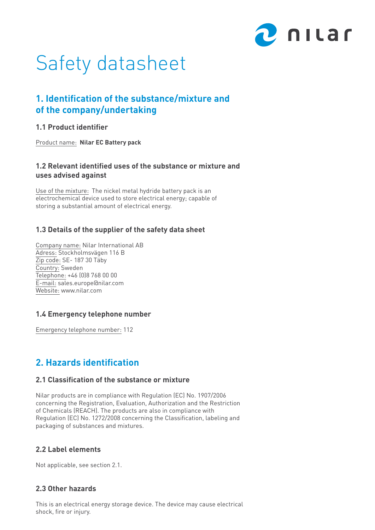

# Safety datasheet

# **1. Identification of the substance/mixture and of the company/undertaking**

### **1.1 Product identifier**

Product name: **Nilar EC Battery pack**

# **1.2 Relevant identified uses of the substance or mixture and uses advised against**

Use of the mixture: The nickel metal hydride battery pack is an electrochemical device used to store electrical energy; capable of storing a substantial amount of electrical energy.

# **1.3 Details of the supplier of the safety data sheet**

Company name: Nilar International AB Adress: Stockholmsvägen 116 B Zip code: SE- 187 30 Täby Country: Sweden Telephone: +46 (0)8 768 00 00 E-mail: sales.europe@nilar.com Website: www.nilar.com

# **1.4 Emergency telephone number**

Emergency telephone number: 112

# **2. Hazards identification**

### **2.1 Classification of the substance or mixture**

Nilar products are in compliance with Regulation (EC) No. 1907/2006 concerning the Registration, Evaluation, Authorization and the Restriction of Chemicals (REACH). The products are also in compliance with Regulation (EC) No. 1272/2008 concerning the Classification, labeling and packaging of substances and mixtures.

# **2.2 Label elements**

Not applicable, see section 2.1.

# **2.3 Other hazards**

This is an electrical energy storage device. The device may cause electrical shock, fire or injury.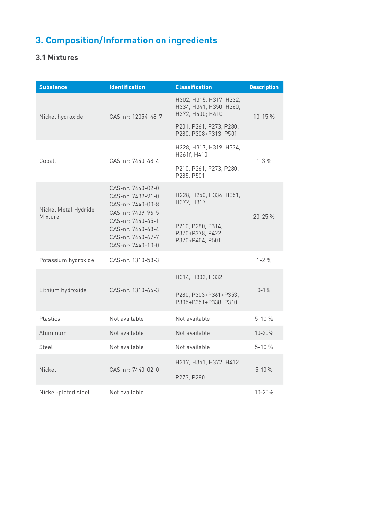# **3. Composition/Information on ingredients**

# **3.1 Mixtures**

| <b>Substance</b>                | <b>Identification</b>                                                                                                                                                | <b>Classification</b>                                                  | <b>Description</b> |  |
|---------------------------------|----------------------------------------------------------------------------------------------------------------------------------------------------------------------|------------------------------------------------------------------------|--------------------|--|
| Nickel hydroxide                | CAS-nr: 12054-48-7                                                                                                                                                   | H302, H315, H317, H332,<br>H334, H341, H350, H360,<br>H372, H400; H410 | $10 - 15 \%$       |  |
|                                 |                                                                                                                                                                      | P201, P261, P273, P280,<br>P280, P308+P313, P501                       |                    |  |
| Cobalt                          | CAS-nr: 7440-48-4                                                                                                                                                    | H228, H317, H319, H334,<br>H361f, H410                                 | $1 - 3 %$          |  |
|                                 |                                                                                                                                                                      | P210, P261, P273, P280,<br>P285, P501                                  |                    |  |
| Nickel Metal Hydride<br>Mixture | CAS-nr: 7440-02-0<br>CAS-nr: 7439-91-0<br>CAS-nr: 7440-00-8<br>CAS-nr: 7439-96-5<br>CAS-nr: 7440-45-1<br>CAS-nr: 7440-48-4<br>CAS-nr: 7440-67-7<br>CAS-nr: 7440-10-0 | H228, H250, H334, H351,<br>H372, H317                                  | $20 - 25%$         |  |
|                                 |                                                                                                                                                                      | P210, P280, P314,<br>P370+P378, P422,<br>P370+P404, P501               |                    |  |
| Potassium hydroxide             | CAS-nr: 1310-58-3                                                                                                                                                    |                                                                        | $1 - 2\%$          |  |
|                                 |                                                                                                                                                                      | H314, H302, H332                                                       |                    |  |
| Lithium hydroxide               | CAS-nr: 1310-66-3                                                                                                                                                    | P280, P303+P361+P353,<br>P305+P351+P338, P310                          | $0 - 1%$           |  |
| Plastics                        | Not available                                                                                                                                                        | Not available                                                          | $5 - 10%$          |  |
| Aluminum                        | Not available                                                                                                                                                        | Not available                                                          | $10 - 20%$         |  |
| Steel                           | Not available                                                                                                                                                        | Not available                                                          | $5 - 10%$          |  |
| Nickel                          | CAS-nr: 7440-02-0                                                                                                                                                    | H317, H351, H372, H412                                                 | $5 - 10%$          |  |
|                                 |                                                                                                                                                                      | P273, P280                                                             |                    |  |
| Nickel-plated steel             | Not available                                                                                                                                                        |                                                                        | 10-20%             |  |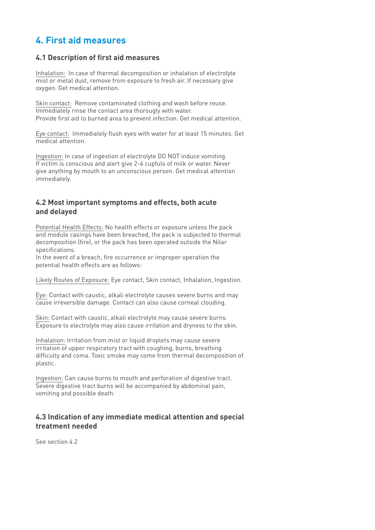# **4. First aid measures**

### **4.1 Description of first aid measures**

Inhalation: In case of thermal decomposition or inhalation of electrolyte mist or metal dust, remove from exposure to fresh air. If necessary give oxygen. Get medical attention.

Skin contact: Remove contaminated clothing and wash before reuse. Immediately rinse the contact area thorougly with water. Provide first aid to burned area to prevent infection. Get medical attention.

Eye contact: Immediately flush eyes with water for at least 15 minutes. Get medical attention.

Ingestion: In case of ingestion of electrolyte DO NOT induce vomiting. If victim is conscious and alert give 2-4 cupfuls of milk or water. Never give anything by mouth to an unconscious person. Get medical attention immediately.

### **4.2 Most important symptoms and effects, both acute and delayed**

Potential Health Effects: No health effects or exposure unless the pack and module casings have been breached, the pack is subjected to thermal decomposition (fire), or the pack has been operated outside the Nilar specifications.

In the event of a breach, fire occurrence or improper operation the potential health effects are as follows:

Likely Routes of Exposure: Eye contact, Skin contact, Inhalation, Ingestion.

Eye: Contact with caustic, alkali electrolyte causes severe burns and may cause irreversible damage. Contact can also cause corneal clouding.

Skin: Contact with caustic, alkali electrolyte may cause severe burns. Exposure to electrolyte may also cause irritation and dryness to the skin.

Inhalation: Irritation from mist or liquid droplets may cause severe irritation of upper respiratory tract with coughing, burns, breathing difficulty and coma. Toxic smoke may come from thermal decomposition of plastic.

Ingestion: Can cause burns to mouth and perforation of digestive tract. Severe digestive tract burns will be accompanied by abdominal pain, vomiting and possible death.

# **4.3 Indication of any immediate medical attention and special treatment needed**

See section 4.2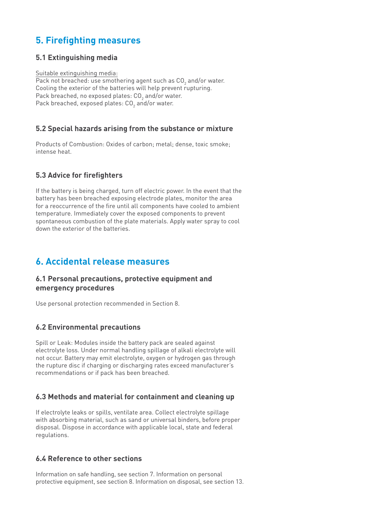# **5. Firefighting measures**

# **5.1 Extinguishing media**

Suitable extinguishing media:

Pack not breached: use smothering agent such as CO $_{\textrm{\tiny{2}}}$  and/or water. Cooling the exterior of the batteries will help prevent rupturing. Pack breached, no exposed plates: CO $_{\textrm{\tiny{2}}}$  and/or water. Pack breached, exposed plates: CO $_{\rm 2}$  and/or water.

# **5.2 Special hazards arising from the substance or mixture**

Products of Combustion: Oxides of carbon; metal; dense, toxic smoke; intense heat.

# **5.3 Advice for firefighters**

If the battery is being charged, turn off electric power. In the event that the battery has been breached exposing electrode plates, monitor the area for a reoccurrence of the fire until all components have cooled to ambient temperature. Immediately cover the exposed components to prevent spontaneous combustion of the plate materials. Apply water spray to cool down the exterior of the batteries.

# **6. Accidental release measures**

# **6.1 Personal precautions, protective equipment and emergency procedures**

Use personal protection recommended in Section 8.

# **6.2 Environmental precautions**

Spill or Leak: Modules inside the battery pack are sealed against electrolyte loss. Under normal handling spillage of alkali electrolyte will not occur. Battery may emit electrolyte, oxygen or hydrogen gas through the rupture disc if charging or discharging rates exceed manufacturer's recommendations or if pack has been breached.

# **6.3 Methods and material for containment and cleaning up**

If electrolyte leaks or spills, ventilate area. Collect electrolyte spillage with absorbing material, such as sand or universal binders, before proper disposal. Dispose in accordance with applicable local, state and federal regulations.

# **6.4 Reference to other sections**

Information on safe handling, see section 7. Information on personal protective equipment, see section 8. Information on disposal, see section 13.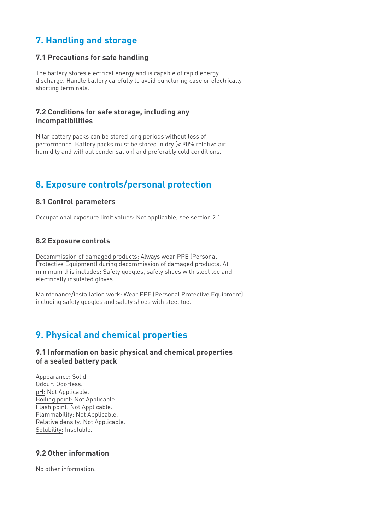# **7. Handling and storage**

### **7.1 Precautions for safe handling**

The battery stores electrical energy and is capable of rapid energy discharge. Handle battery carefully to avoid puncturing case or electrically shorting terminals.

### **7.2 Conditions for safe storage, including any incompatibilities**

Nilar battery packs can be stored long periods without loss of performance. Battery packs must be stored in dry (< 90% relative air humidity and without condensation) and preferably cold conditions.

# **8. Exposure controls/personal protection**

### **8.1 Control parameters**

Occupational exposure limit values: Not applicable, see section 2.1.

### **8.2 Exposure controls**

Decommission of damaged products: Always wear PPE (Personal Protective Equipment) during decommission of damaged products. At minimum this includes: Safety googles, safety shoes with steel toe and electrically insulated gloves.

Maintenance/installation work: Wear PPE (Personal Protective Equipment) including safety googles and safety shoes with steel toe.

# **9. Physical and chemical properties**

### **9.1 Information on basic physical and chemical properties of a sealed battery pack**

Appearance: Solid. Odour: Odorless. pH: Not Applicable. Boiling point: Not Applicable. Flash point: Not Applicable. Flammability: Not Applicable. Relative density: Not Applicable. Solubility: Insoluble.

# **9.2 Other information**

No other information.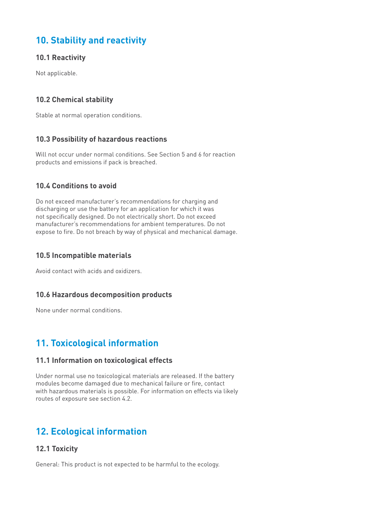# **10. Stability and reactivity**

# **10.1 Reactivity**

Not applicable.

# **10.2 Chemical stability**

Stable at normal operation conditions.

# **10.3 Possibility of hazardous reactions**

Will not occur under normal conditions. See Section 5 and 6 for reaction products and emissions if pack is breached.

# **10.4 Conditions to avoid**

Do not exceed manufacturer's recommendations for charging and discharging or use the battery for an application for which it was not specifically designed. Do not electrically short. Do not exceed manufacturer's recommendations for ambient temperatures. Do not expose to fire. Do not breach by way of physical and mechanical damage.

# **10.5 Incompatible materials**

Avoid contact with acids and oxidizers.

# **10.6 Hazardous decomposition products**

None under normal conditions.

# **11. Toxicological information**

# **11.1 Information on toxicological effects**

Under normal use no toxicological materials are released. If the battery modules become damaged due to mechanical failure or fire, contact with hazardous materials is possible. For information on effects via likely routes of exposure see section 4.2.

# **12. Ecological information**

# **12.1 Toxicity**

General: This product is not expected to be harmful to the ecology.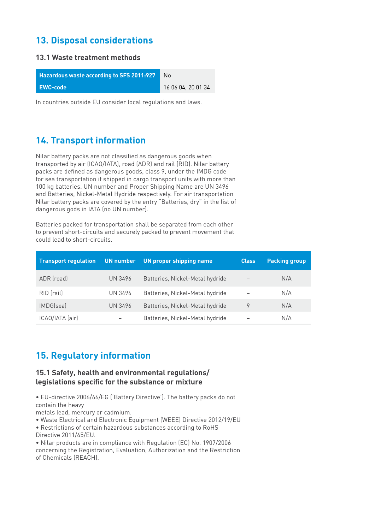# **13. Disposal considerations**

# **13.1 Waste treatment methods**

| <b>Hazardous waste according to SFS 2011:927</b> | No.                |
|--------------------------------------------------|--------------------|
| EWC-code                                         | 16 06 04, 20 01 34 |

In countries outside EU consider local regulations and laws.

# **14. Transport information**

Nilar battery packs are not classified as dangerous goods when transported by air (ICAO/IATA), road (ADR) and rail (RID). Nilar battery packs are defined as dangerous goods, class 9, under the IMDG code for sea transportation if shipped in cargo transport units with more than 100 kg batteries. UN number and Proper Shipping Name are UN 3496 and Batteries, Nickel-Metal Hydride respectively. For air transportation Nilar battery packs are covered by the entry "Batteries, dry" in the list of dangerous gods in IATA (no UN number).

Batteries packed for transportation shall be separated from each other to prevent short-circuits and securely packed to prevent movement that could lead to short-circuits.

| <b>Transport regulation</b> | UN number | UN proper shipping name         | <b>Class</b> | <b>Packing group</b> |
|-----------------------------|-----------|---------------------------------|--------------|----------------------|
| ADR (road)                  | UN 3496   | Batteries, Nickel-Metal hydride |              | N/A                  |
| RID (rail)                  | UN 3496   | Batteries, Nickel-Metal hydride |              | N/A                  |
| IMDG(sea)                   | UN 3496   | Batteries, Nickel-Metal hydride | 9            | N/A                  |
| ICAO/IATA (air)             |           | Batteries, Nickel-Metal hydride |              | N/A                  |

# **15. Regulatory information**

### **15.1 Safety, health and environmental regulations/ legislations specific for the substance or mixture**

• EU-directive 2006/66/EG ('Battery Directive'). The battery packs do not contain the heavy

metals lead, mercury or cadmium.

- Waste Electrical and Electronic Equipment (WEEE) Directive 2012/19/EU
- Restrictions of certain hazardous substances according to RoHS Directive 2011/65/EU.

• Nilar products are in compliance with Regulation (EC) No. 1907/2006 concerning the Registration, Evaluation, Authorization and the Restriction of Chemicals (REACH).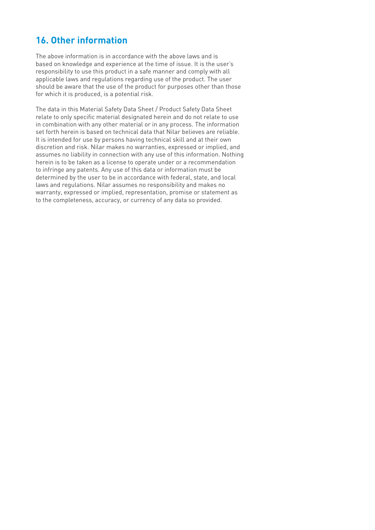# **16. Other information**

The above information is in accordance with the above laws and is based on knowledge and experience at the time of issue. It is the user's responsibility to use this product in a safe manner and comply with all applicable laws and regulations regarding use of the product. The user should be aware that the use of the product for purposes other than those for which it is produced, is a potential risk.

The data in this Material Safety Data Sheet / Product Safety Data Sheet relate to only specific material designated herein and do not relate to use in combination with any other material or in any process. The information set forth herein is based on technical data that Nilar believes are reliable. It is intended for use by persons having technical skill and at their own discretion and risk. Nilar makes no warranties, expressed or implied, and assumes no liability in connection with any use of this information. Nothing herein is to be taken as a license to operate under or a recommendation to infringe any patents. Any use of this data or information must be determined by the user to be in accordance with federal, state, and local laws and regulations. Nilar assumes no responsibility and makes no warranty, expressed or implied, representation, promise or statement as to the completeness, accuracy, or currency of any data so provided.